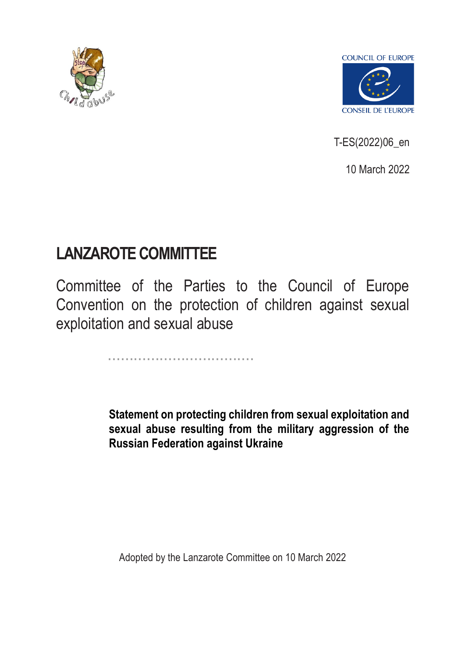



T-ES(2022)06\_en

10 March 2022

## **LANZAROTE COMMITTEE**

Committee of the Parties to the Council of Europe Convention on the protection of children against sexual exploitation and sexual abuse

..................................

**Statement on protecting children from sexual exploitation and sexual abuse resulting from the military aggression of the Russian Federation against Ukraine** 

Adopted by the Lanzarote Committee on 10 March 2022